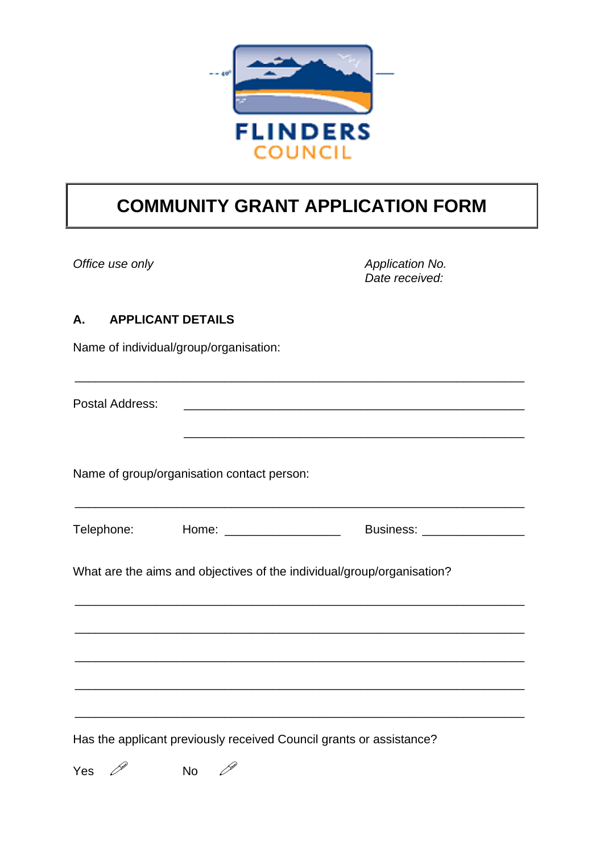

# **COMMUNITY GRANT APPLICATION FORM**

*Office use only Application No. Application No. Date received:*

#### **A. APPLICANT DETAILS**

Name of individual/group/organisation:

Postal Address:

Name of group/organisation contact person:

| Telephone: | Home: | Business: |
|------------|-------|-----------|
|            |       |           |

\_\_\_\_\_\_\_\_\_\_\_\_\_\_\_\_\_\_\_\_\_\_\_\_\_\_\_\_\_\_\_\_\_\_\_\_\_\_\_\_\_\_\_\_\_\_\_\_\_\_\_\_\_\_\_\_\_\_\_\_\_\_\_\_\_\_

\_\_\_\_\_\_\_\_\_\_\_\_\_\_\_\_\_\_\_\_\_\_\_\_\_\_\_\_\_\_\_\_\_\_\_\_\_\_\_\_\_\_\_\_\_\_\_\_\_\_\_\_\_\_\_\_\_\_\_\_\_\_\_\_\_\_

\_\_\_\_\_\_\_\_\_\_\_\_\_\_\_\_\_\_\_\_\_\_\_\_\_\_\_\_\_\_\_\_\_\_\_\_\_\_\_\_\_\_\_\_\_\_\_\_\_\_\_\_\_\_\_\_\_\_\_\_\_\_\_\_\_\_

\_\_\_\_\_\_\_\_\_\_\_\_\_\_\_\_\_\_\_\_\_\_\_\_\_\_\_\_\_\_\_\_\_\_\_\_\_\_\_\_\_\_\_\_\_\_\_\_\_\_\_\_\_\_\_\_\_\_\_\_\_\_\_\_\_\_

\_\_\_\_\_\_\_\_\_\_\_\_\_\_\_\_\_\_\_\_\_\_\_\_\_\_\_\_\_\_\_\_\_\_\_\_\_\_\_\_\_\_\_\_\_\_\_\_\_\_\_\_\_\_\_\_\_\_\_\_\_\_\_\_\_\_

\_\_\_\_\_\_\_\_\_\_\_\_\_\_\_\_\_\_\_\_\_\_\_\_\_\_\_\_\_\_\_\_\_\_\_\_\_\_\_\_\_\_\_\_\_\_\_\_\_\_\_\_\_\_\_\_\_\_\_\_\_\_\_\_\_\_

\_\_\_\_\_\_\_\_\_\_\_\_\_\_\_\_\_\_\_\_\_\_\_\_\_\_\_\_\_\_\_\_\_\_\_\_\_\_\_\_\_\_\_\_\_\_\_\_\_\_\_\_\_\_\_\_\_\_\_\_\_\_\_\_\_\_

\_\_\_\_\_\_\_\_\_\_\_\_\_\_\_\_\_\_\_\_\_\_\_\_\_\_\_\_\_\_\_\_\_\_\_\_\_\_\_\_\_\_\_\_\_\_\_\_\_\_

What are the aims and objectives of the individual/group/organisation?

Has the applicant previously received Council grants or assistance?

Yes  $\mathscr P$  No  $\mathscr P$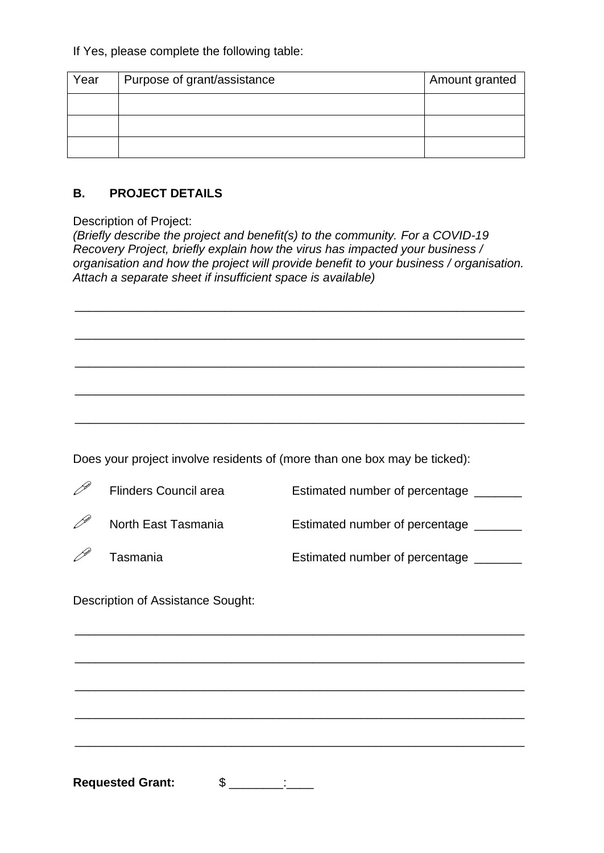If Yes, please complete the following table:

| Year | Purpose of grant/assistance | Amount granted |
|------|-----------------------------|----------------|
|      |                             |                |
|      |                             |                |
|      |                             |                |

#### **B. PROJECT DETAILS**

Description of Project:

*(Briefly describe the project and benefit(s) to the community. For a COVID-19 Recovery Project, briefly explain how the virus has impacted your business / organisation and how the project will provide benefit to your business / organisation. Attach a separate sheet if insufficient space is available)*

\_\_\_\_\_\_\_\_\_\_\_\_\_\_\_\_\_\_\_\_\_\_\_\_\_\_\_\_\_\_\_\_\_\_\_\_\_\_\_\_\_\_\_\_\_\_\_\_\_\_\_\_\_\_\_\_\_\_\_\_\_\_\_\_\_\_

\_\_\_\_\_\_\_\_\_\_\_\_\_\_\_\_\_\_\_\_\_\_\_\_\_\_\_\_\_\_\_\_\_\_\_\_\_\_\_\_\_\_\_\_\_\_\_\_\_\_\_\_\_\_\_\_\_\_\_\_\_\_\_\_\_\_

\_\_\_\_\_\_\_\_\_\_\_\_\_\_\_\_\_\_\_\_\_\_\_\_\_\_\_\_\_\_\_\_\_\_\_\_\_\_\_\_\_\_\_\_\_\_\_\_\_\_\_\_\_\_\_\_\_\_\_\_\_\_\_\_\_\_

\_\_\_\_\_\_\_\_\_\_\_\_\_\_\_\_\_\_\_\_\_\_\_\_\_\_\_\_\_\_\_\_\_\_\_\_\_\_\_\_\_\_\_\_\_\_\_\_\_\_\_\_\_\_\_\_\_\_\_\_\_\_\_\_\_\_

\_\_\_\_\_\_\_\_\_\_\_\_\_\_\_\_\_\_\_\_\_\_\_\_\_\_\_\_\_\_\_\_\_\_\_\_\_\_\_\_\_\_\_\_\_\_\_\_\_\_\_\_\_\_\_\_\_\_\_\_\_\_\_\_\_\_

Does your project involve residents of (more than one box may be ticked):

 $\mathscr{P}$  Flinders Council area Estimated number of percentage  $\blacksquare$  $\mathscr{P}$  North East Tasmania **Estimated number of percentage** \_\_\_\_\_\_  $\mathscr{P}$  Tasmania  $\Box$  Estimated number of percentage  $\Box$ 

\_\_\_\_\_\_\_\_\_\_\_\_\_\_\_\_\_\_\_\_\_\_\_\_\_\_\_\_\_\_\_\_\_\_\_\_\_\_\_\_\_\_\_\_\_\_\_\_\_\_\_\_\_\_\_\_\_\_\_\_\_\_\_\_\_\_

\_\_\_\_\_\_\_\_\_\_\_\_\_\_\_\_\_\_\_\_\_\_\_\_\_\_\_\_\_\_\_\_\_\_\_\_\_\_\_\_\_\_\_\_\_\_\_\_\_\_\_\_\_\_\_\_\_\_\_\_\_\_\_\_\_\_

\_\_\_\_\_\_\_\_\_\_\_\_\_\_\_\_\_\_\_\_\_\_\_\_\_\_\_\_\_\_\_\_\_\_\_\_\_\_\_\_\_\_\_\_\_\_\_\_\_\_\_\_\_\_\_\_\_\_\_\_\_\_\_\_\_\_

\_\_\_\_\_\_\_\_\_\_\_\_\_\_\_\_\_\_\_\_\_\_\_\_\_\_\_\_\_\_\_\_\_\_\_\_\_\_\_\_\_\_\_\_\_\_\_\_\_\_\_\_\_\_\_\_\_\_\_\_\_\_\_\_\_\_

\_\_\_\_\_\_\_\_\_\_\_\_\_\_\_\_\_\_\_\_\_\_\_\_\_\_\_\_\_\_\_\_\_\_\_\_\_\_\_\_\_\_\_\_\_\_\_\_\_\_\_\_\_\_\_\_\_\_\_\_\_\_\_\_\_\_

Description of Assistance Sought:

**Requested Grant:** \$ \_\_\_\_\_\_\_: \_\_\_\_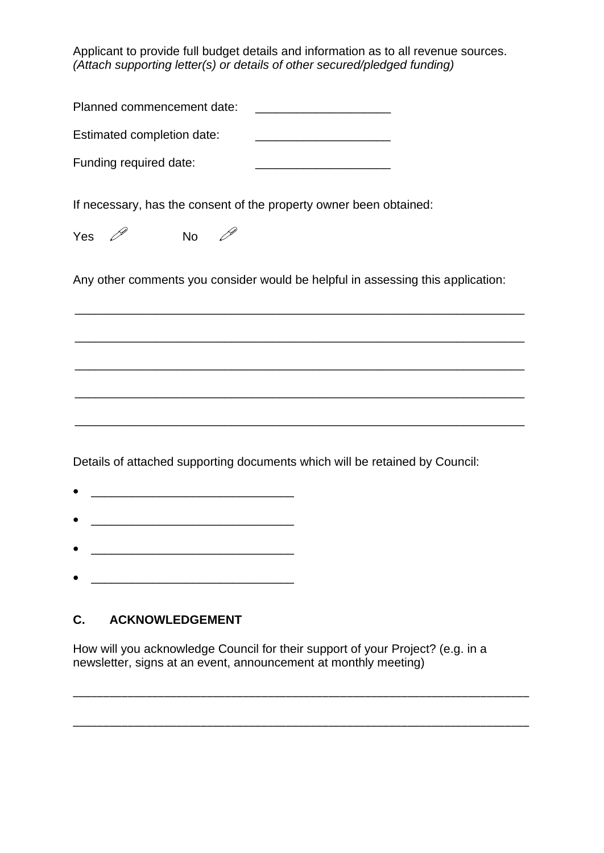Applicant to provide full budget details and information as to all revenue sources. *(Attach supporting letter(s) or details of other secured/pledged funding)*

| Planned commencement date:<br><u> 1989 - Johann Harry Barn, mars ar breist fan de Fryske kommunent fan de Fryske kommunent fan de Fryske kommun</u> |
|-----------------------------------------------------------------------------------------------------------------------------------------------------|
| Estimated completion date:<br><u> 1989 - Johann John Stone, mars et al. (</u>                                                                       |
| Funding required date:                                                                                                                              |
| If necessary, has the consent of the property owner been obtained:                                                                                  |
| Yes $\mathscr{P}$<br>No $\mathscr{P}$                                                                                                               |
| Any other comments you consider would be helpful in assessing this application:                                                                     |
|                                                                                                                                                     |
|                                                                                                                                                     |
|                                                                                                                                                     |
|                                                                                                                                                     |
|                                                                                                                                                     |

Details of attached supporting documents which will be retained by Council:

- $\bullet$   $\qquad \qquad$   $\qquad \qquad$   $\qquad$   $\qquad$   $\qquad$   $\qquad$   $\qquad$   $\qquad$   $\qquad$   $\qquad$   $\qquad$   $\qquad$   $\qquad$   $\qquad$   $\qquad$   $\qquad$   $\qquad$   $\qquad$   $\qquad$   $\qquad$   $\qquad$   $\qquad$   $\qquad$   $\qquad$   $\qquad$   $\qquad$   $\qquad$   $\qquad$   $\qquad$   $\qquad$   $\qquad$   $\qquad$   $\qquad$   $\qquad$   $\qquad$
- $\bullet$   $\qquad \qquad$
- \_\_\_\_\_\_\_\_\_\_\_\_\_\_\_\_\_\_\_\_\_\_\_\_\_\_\_\_\_\_
- \_\_\_\_\_\_\_\_\_\_\_\_\_\_\_\_\_\_\_\_\_\_\_\_\_\_\_\_\_\_

## **C. ACKNOWLEDGEMENT**

How will you acknowledge Council for their support of your Project? (e.g. in a newsletter, signs at an event, announcement at monthly meeting)

\_\_\_\_\_\_\_\_\_\_\_\_\_\_\_\_\_\_\_\_\_\_\_\_\_\_\_\_\_\_\_\_\_\_\_\_\_\_\_\_\_\_\_\_\_\_\_\_\_\_\_\_\_\_\_\_\_\_\_\_\_\_\_\_\_\_\_\_\_\_\_\_\_\_\_

\_\_\_\_\_\_\_\_\_\_\_\_\_\_\_\_\_\_\_\_\_\_\_\_\_\_\_\_\_\_\_\_\_\_\_\_\_\_\_\_\_\_\_\_\_\_\_\_\_\_\_\_\_\_\_\_\_\_\_\_\_\_\_\_\_\_\_\_\_\_\_\_\_\_\_